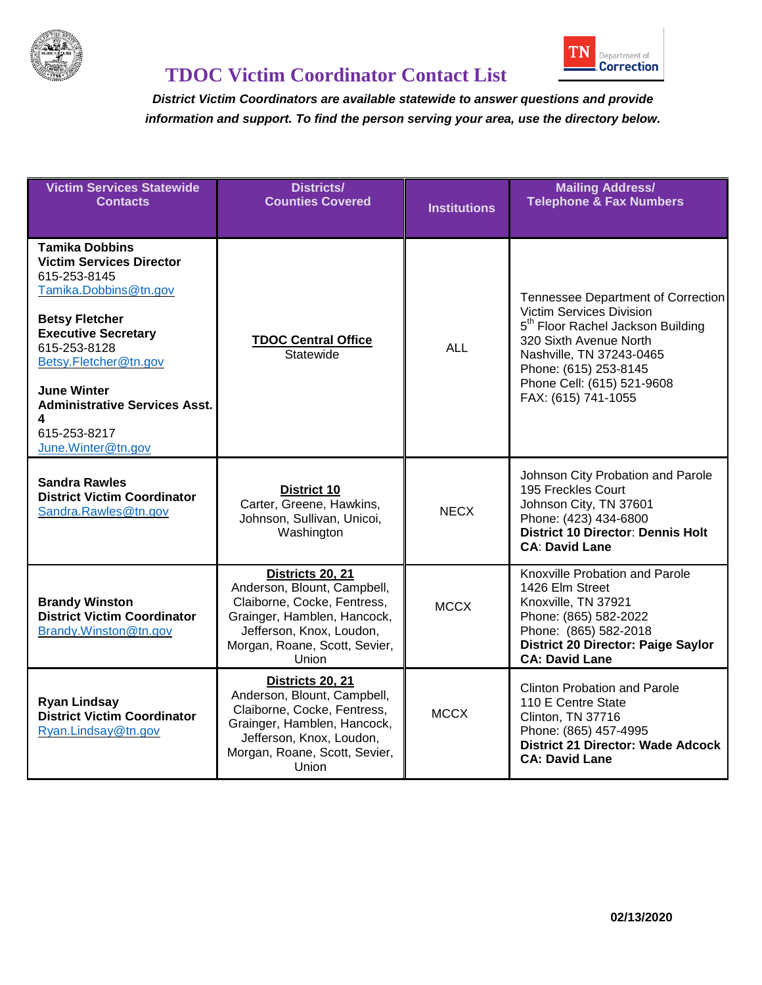

| <b>Victim Services Statewide</b><br><b>Contacts</b>                                                                                                                                                                                                                                                        | <b>Districts/</b><br><b>Counties Covered</b>                                                                                                                                               | <b>Institutions</b> | <b>Mailing Address/</b><br><b>Telephone &amp; Fax Numbers</b>                                                                                                                                                                                       |
|------------------------------------------------------------------------------------------------------------------------------------------------------------------------------------------------------------------------------------------------------------------------------------------------------------|--------------------------------------------------------------------------------------------------------------------------------------------------------------------------------------------|---------------------|-----------------------------------------------------------------------------------------------------------------------------------------------------------------------------------------------------------------------------------------------------|
| <b>Tamika Dobbins</b><br><b>Victim Services Director</b><br>615-253-8145<br>Tamika.Dobbins@tn.gov<br><b>Betsy Fletcher</b><br><b>Executive Secretary</b><br>615-253-8128<br>Betsy.Fletcher@tn.gov<br><b>June Winter</b><br><b>Administrative Services Asst.</b><br>4<br>615-253-8217<br>June.Winter@tn.gov | <b>TDOC Central Office</b><br>Statewide                                                                                                                                                    | <b>ALL</b>          | Tennessee Department of Correction<br>Victim Services Division<br>5 <sup>th</sup> Floor Rachel Jackson Building<br>320 Sixth Avenue North<br>Nashville, TN 37243-0465<br>Phone: (615) 253-8145<br>Phone Cell: (615) 521-9608<br>FAX: (615) 741-1055 |
| <b>Sandra Rawles</b><br><b>District Victim Coordinator</b><br>Sandra.Rawles@tn.gov                                                                                                                                                                                                                         | <b>District 10</b><br>Carter, Greene, Hawkins,<br>Johnson, Sullivan, Unicoi,<br>Washington                                                                                                 | <b>NECX</b>         | Johnson City Probation and Parole<br>195 Freckles Court<br>Johnson City, TN 37601<br>Phone: (423) 434-6800<br><b>District 10 Director: Dennis Holt</b><br><b>CA: David Lane</b>                                                                     |
| <b>Brandy Winston</b><br><b>District Victim Coordinator</b><br>Brandy.Winston@tn.gov                                                                                                                                                                                                                       | Districts 20, 21<br>Anderson, Blount, Campbell,<br>Claiborne, Cocke, Fentress,<br>Grainger, Hamblen, Hancock,<br>Jefferson, Knox, Loudon,<br>Morgan, Roane, Scott, Sevier,<br>Union        | <b>MCCX</b>         | Knoxville Probation and Parole<br>1426 Elm Street<br>Knoxville, TN 37921<br>Phone: (865) 582-2022<br>Phone: (865) 582-2018<br><b>District 20 Director: Paige Saylor</b><br><b>CA: David Lane</b>                                                    |
| <b>Ryan Lindsay</b><br><b>District Victim Coordinator</b><br>Ryan.Lindsay@tn.gov                                                                                                                                                                                                                           | Districts 20, 21<br>Anderson, Blount, Campbell,<br>Claiborne, Cocke, Fentress,<br>Grainger, Hamblen, Hancock,<br>Jefferson, Knox, Loudon,<br>Morgan, Roane, Scott, Sevier,<br><b>Union</b> | <b>MCCX</b>         | <b>Clinton Probation and Parole</b><br>110 E Centre State<br>Clinton, TN 37716<br>Phone: (865) 457-4995<br><b>District 21 Director: Wade Adcock</b><br><b>CA: David Lane</b>                                                                        |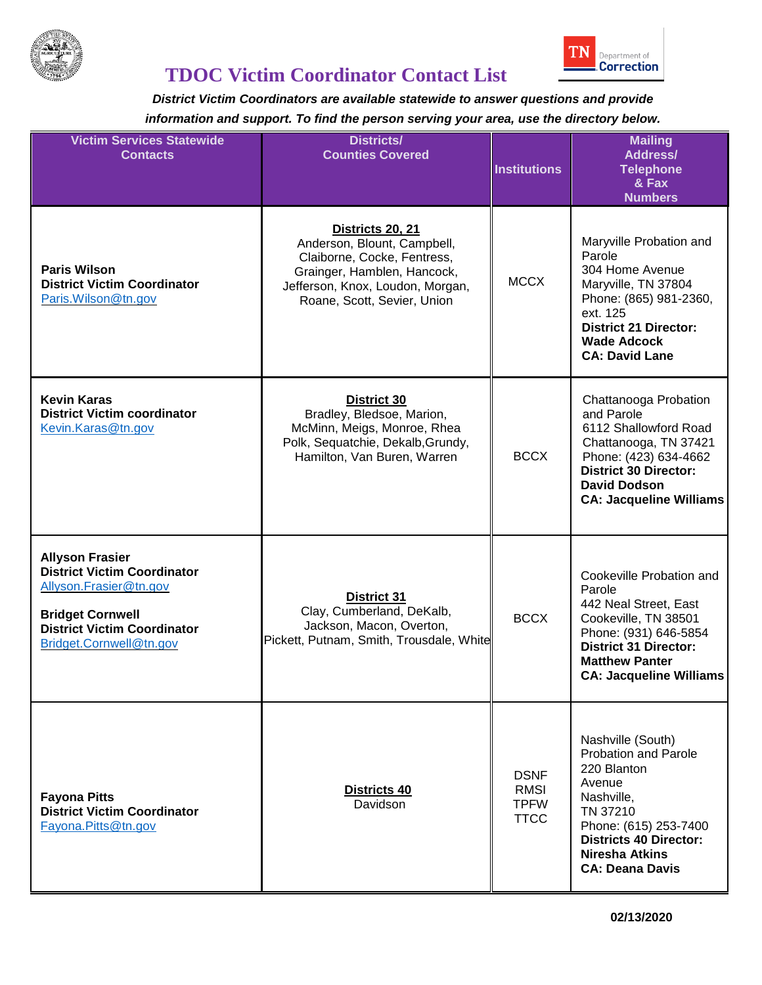

# **TDOC Victim Coordinator Contact List**

| <b>Victim Services Statewide</b><br><b>Contacts</b>                                                                                                                                | <b>Districts/</b><br><b>Counties Covered</b>                                                                                                                                     | <b>Institutions</b>                               | <b>Mailing</b><br><b>Address/</b><br><b>Telephone</b><br>& Fax<br><b>Numbers</b>                                                                                                                                 |
|------------------------------------------------------------------------------------------------------------------------------------------------------------------------------------|----------------------------------------------------------------------------------------------------------------------------------------------------------------------------------|---------------------------------------------------|------------------------------------------------------------------------------------------------------------------------------------------------------------------------------------------------------------------|
| <b>Paris Wilson</b><br><b>District Victim Coordinator</b><br>Paris. Wilson @tn.gov                                                                                                 | Districts 20, 21<br>Anderson, Blount, Campbell,<br>Claiborne, Cocke, Fentress,<br>Grainger, Hamblen, Hancock,<br>Jefferson, Knox, Loudon, Morgan,<br>Roane, Scott, Sevier, Union | <b>MCCX</b>                                       | Maryville Probation and<br>Parole<br>304 Home Avenue<br>Maryville, TN 37804<br>Phone: (865) 981-2360,<br>ext. 125<br><b>District 21 Director:</b><br><b>Wade Adcock</b><br><b>CA: David Lane</b>                 |
| <b>Kevin Karas</b><br><b>District Victim coordinator</b><br>Kevin.Karas@tn.gov                                                                                                     | <b>District 30</b><br>Bradley, Bledsoe, Marion,<br>McMinn, Meigs, Monroe, Rhea<br>Polk, Sequatchie, Dekalb, Grundy,<br>Hamilton, Van Buren, Warren                               | <b>BCCX</b>                                       | Chattanooga Probation<br>and Parole<br>6112 Shallowford Road<br>Chattanooga, TN 37421<br>Phone: (423) 634-4662<br><b>District 30 Director:</b><br><b>David Dodson</b><br><b>CA: Jacqueline Williams</b>          |
| <b>Allyson Frasier</b><br><b>District Victim Coordinator</b><br>Allyson.Frasier@tn.gov<br><b>Bridget Cornwell</b><br><b>District Victim Coordinator</b><br>Bridget.Cornwell@tn.gov | District 31<br>Clay, Cumberland, DeKalb,<br>Jackson, Macon, Overton,<br>Pickett, Putnam, Smith, Trousdale, White                                                                 | <b>BCCX</b>                                       | Cookeville Probation and<br>Parole<br>442 Neal Street, East<br>Cookeville, TN 38501<br>Phone: (931) 646-5854<br><b>District 31 Director:</b><br><b>Matthew Panter</b><br><b>CA: Jacqueline Williams</b>          |
| <b>Fayona Pitts</b><br><b>District Victim Coordinator</b><br>Fayona.Pitts@tn.gov                                                                                                   | Districts 40<br>Davidson                                                                                                                                                         | <b>DSNF</b><br>RMSI<br><b>TPFW</b><br><b>TTCC</b> | Nashville (South)<br><b>Probation and Parole</b><br>220 Blanton<br>Avenue<br>Nashville,<br>TN 37210<br>Phone: (615) 253-7400<br><b>Districts 40 Director:</b><br><b>Niresha Atkins</b><br><b>CA: Deana Davis</b> |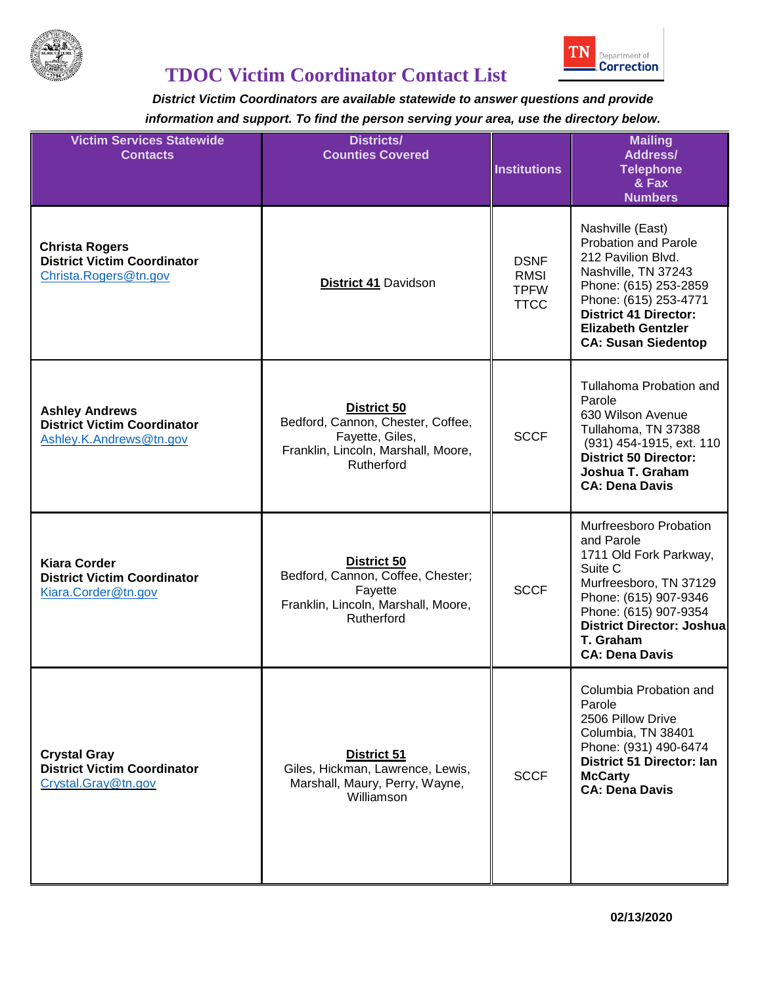

## **TDOC Victim Coordinator Contact List**

| <b>Victim Services Statewide</b><br><b>Contacts</b>                                    | Districts/<br><b>Counties Covered</b>                                                                                           | <b>Institutions</b>                                      | <b>Mailing</b><br><b>Address/</b><br><b>Telephone</b><br>& Fax<br><b>Numbers</b>                                                                                                                                                          |
|----------------------------------------------------------------------------------------|---------------------------------------------------------------------------------------------------------------------------------|----------------------------------------------------------|-------------------------------------------------------------------------------------------------------------------------------------------------------------------------------------------------------------------------------------------|
| <b>Christa Rogers</b><br><b>District Victim Coordinator</b><br>Christa.Rogers@tn.gov   | <b>District 41 Davidson</b>                                                                                                     | <b>DSNF</b><br><b>RMSI</b><br><b>TPFW</b><br><b>TTCC</b> | Nashville (East)<br><b>Probation and Parole</b><br>212 Pavilion Blvd.<br>Nashville, TN 37243<br>Phone: (615) 253-2859<br>Phone: (615) 253-4771<br><b>District 41 Director:</b><br><b>Elizabeth Gentzler</b><br><b>CA: Susan Siedentop</b> |
| <b>Ashley Andrews</b><br><b>District Victim Coordinator</b><br>Ashley.K.Andrews@tn.gov | <b>District 50</b><br>Bedford, Cannon, Chester, Coffee,<br>Fayette, Giles,<br>Franklin, Lincoln, Marshall, Moore,<br>Rutherford | <b>SCCF</b>                                              | Tullahoma Probation and<br>Parole<br>630 Wilson Avenue<br>Tullahoma, TN 37388<br>(931) 454-1915, ext. 110<br><b>District 50 Director:</b><br>Joshua T. Graham<br><b>CA: Dena Davis</b>                                                    |
| <b>Kiara Corder</b><br><b>District Victim Coordinator</b><br>Kiara.Corder@tn.gov       | <b>District 50</b><br>Bedford, Cannon, Coffee, Chester;<br>Fayette<br>Franklin, Lincoln, Marshall, Moore,<br>Rutherford         | <b>SCCF</b>                                              | Murfreesboro Probation<br>and Parole<br>1711 Old Fork Parkway,<br>Suite C<br>Murfreesboro, TN 37129<br>Phone: (615) 907-9346<br>Phone: (615) 907-9354<br>District Director: Joshua<br>T. Graham<br><b>CA: Dena Davis</b>                  |
| <b>Crystal Gray</b><br><b>District Victim Coordinator</b><br>Crystal.Gray@tn.gov       | <b>District 51</b><br>Giles, Hickman, Lawrence, Lewis,<br>Marshall, Maury, Perry, Wayne,<br>Williamson                          | <b>SCCF</b>                                              | Columbia Probation and<br>Parole<br>2506 Pillow Drive<br>Columbia, TN 38401<br>Phone: (931) 490-6474<br>District 51 Director: Ian<br><b>McCarty</b><br><b>CA: Dena Davis</b>                                                              |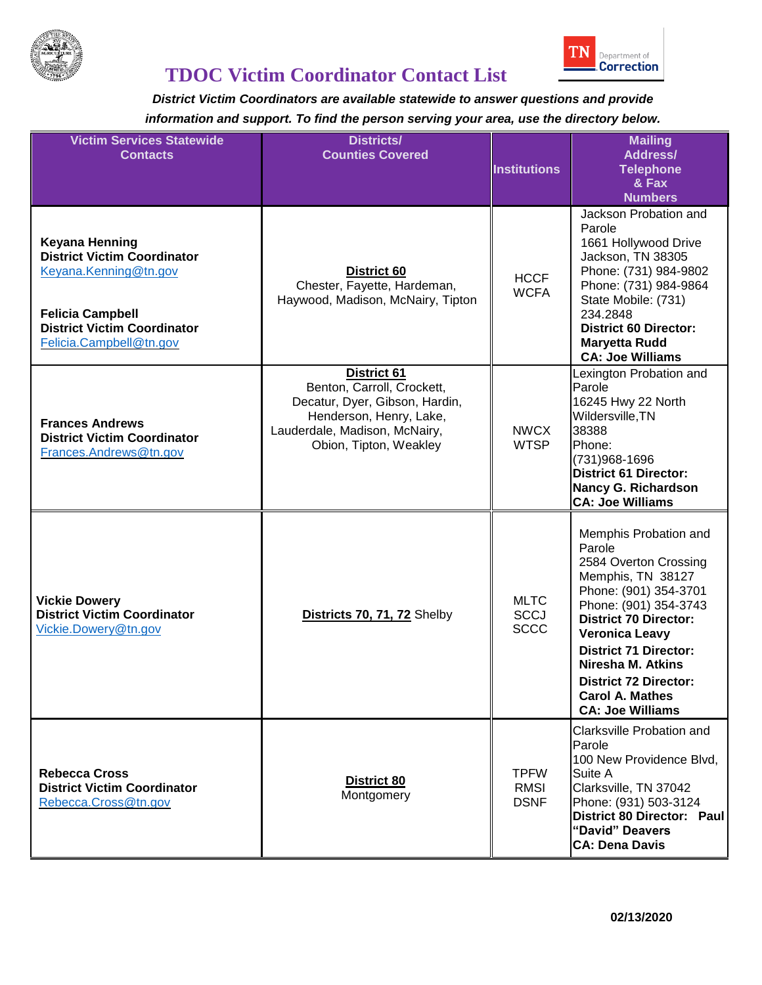



| <b>Victim Services Statewide</b><br><b>Contacts</b>                                                                                                                              | <b>Districts/</b><br><b>Counties Covered</b>                                                                                                                             | <b>Institutions</b>                       | <b>Mailing</b><br><b>Address/</b><br><b>Telephone</b><br>& Fax<br><b>Numbers</b>                                                                                                                                                                                                                                                          |
|----------------------------------------------------------------------------------------------------------------------------------------------------------------------------------|--------------------------------------------------------------------------------------------------------------------------------------------------------------------------|-------------------------------------------|-------------------------------------------------------------------------------------------------------------------------------------------------------------------------------------------------------------------------------------------------------------------------------------------------------------------------------------------|
| <b>Keyana Henning</b><br><b>District Victim Coordinator</b><br>Keyana.Kenning@tn.gov<br><b>Felicia Campbell</b><br><b>District Victim Coordinator</b><br>Felicia.Campbell@tn.gov | District 60<br>Chester, Fayette, Hardeman,<br>Haywood, Madison, McNairy, Tipton                                                                                          | <b>HCCF</b><br><b>WCFA</b>                | Jackson Probation and<br>Parole<br>1661 Hollywood Drive<br>Jackson, TN 38305<br>Phone: (731) 984-9802<br>Phone: (731) 984-9864<br>State Mobile: (731)<br>234.2848<br><b>District 60 Director:</b><br><b>Maryetta Rudd</b><br><b>CA: Joe Williams</b>                                                                                      |
| <b>Frances Andrews</b><br><b>District Victim Coordinator</b><br>Frances.Andrews@tn.gov                                                                                           | <b>District 61</b><br>Benton, Carroll, Crockett,<br>Decatur, Dyer, Gibson, Hardin,<br>Henderson, Henry, Lake,<br>Lauderdale, Madison, McNairy,<br>Obion, Tipton, Weakley | <b>NWCX</b><br><b>WTSP</b>                | Lexington Probation and<br>Parole<br>16245 Hwy 22 North<br>Wildersville, TN<br>38388<br>Phone:<br>(731) 968-1696<br><b>District 61 Director:</b><br><b>Nancy G. Richardson</b><br><b>CA: Joe Williams</b>                                                                                                                                 |
| <b>Vickie Dowery</b><br><b>District Victim Coordinator</b><br>Vickie.Dowery@tn.gov                                                                                               | Districts 70, 71, 72 Shelby                                                                                                                                              | <b>MLTC</b><br><b>SCCJ</b><br><b>SCCC</b> | Memphis Probation and<br>Parole<br>2584 Overton Crossing<br>Memphis, TN 38127<br>Phone: (901) 354-3701<br>Phone: (901) 354-3743<br><b>District 70 Director:</b><br><b>Veronica Leavy</b><br><b>District 71 Director:</b><br><b>Niresha M. Atkins</b><br><b>District 72 Director:</b><br><b>Carol A. Mathes</b><br><b>CA: Joe Williams</b> |
| <b>Rebecca Cross</b><br><b>District Victim Coordinator</b><br>Rebecca.Cross@tn.gov                                                                                               | <b>District 80</b><br>Montgomery                                                                                                                                         | <b>TPFW</b><br><b>RMSI</b><br><b>DSNF</b> | <b>Clarksville Probation and</b><br>Parole<br>100 New Providence Blvd,<br>Suite A<br>Clarksville, TN 37042<br>Phone: (931) 503-3124<br>District 80 Director: Paul<br>"David" Deavers<br><b>CA: Dena Davis</b>                                                                                                                             |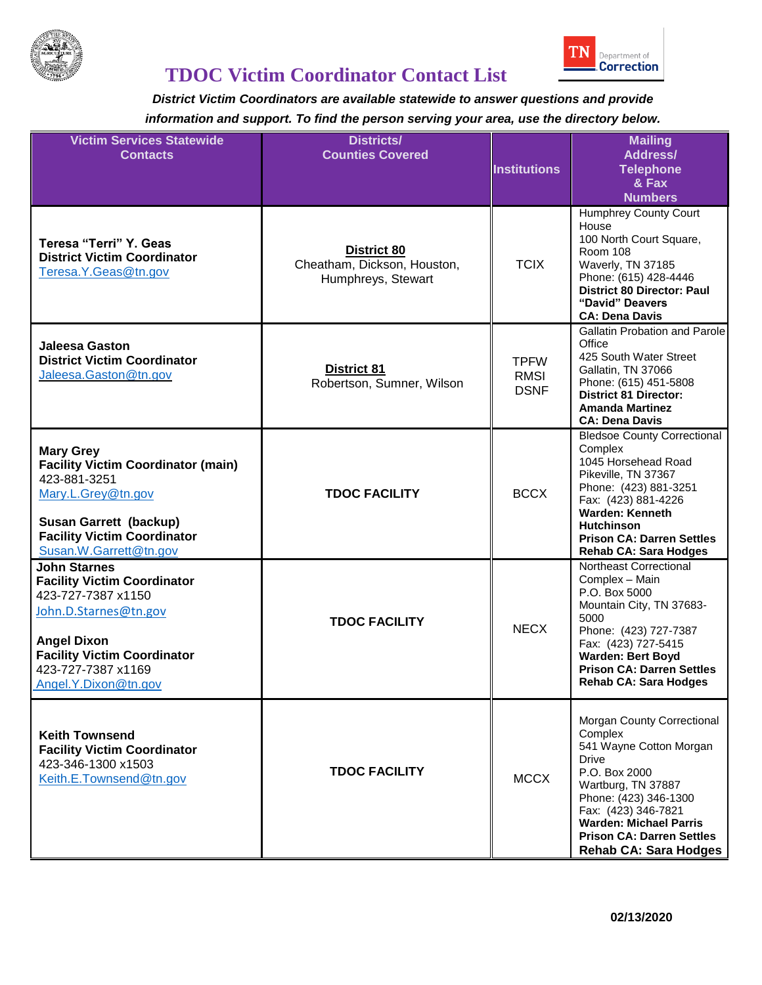

# **TDOC Victim Coordinator Contact List**

| <b>Victim Services Statewide</b><br><b>Contacts</b>                                                                                                                                                                | <b>Districts/</b><br><b>Counties Covered</b>                     | <b>Institutions</b>                       | <b>Mailing</b><br><b>Address/</b><br><b>Telephone</b><br>& Fax<br><b>Numbers</b>                                                                                                                                                                                             |
|--------------------------------------------------------------------------------------------------------------------------------------------------------------------------------------------------------------------|------------------------------------------------------------------|-------------------------------------------|------------------------------------------------------------------------------------------------------------------------------------------------------------------------------------------------------------------------------------------------------------------------------|
| Teresa "Terri" Y. Geas<br><b>District Victim Coordinator</b><br>Teresa.Y.Geas@tn.gov                                                                                                                               | District 80<br>Cheatham, Dickson, Houston,<br>Humphreys, Stewart | <b>TCIX</b>                               | Humphrey County Court<br>House<br>100 North Court Square,<br><b>Room 108</b><br>Waverly, TN 37185<br>Phone: (615) 428-4446<br><b>District 80 Director: Paul</b><br>"David" Deavers<br><b>CA: Dena Davis</b>                                                                  |
| <b>Jaleesa Gaston</b><br><b>District Victim Coordinator</b><br>Jaleesa.Gaston@tn.gov                                                                                                                               | <b>District 81</b><br>Robertson, Sumner, Wilson                  | <b>TPFW</b><br><b>RMSI</b><br><b>DSNF</b> | <b>Gallatin Probation and Parole</b><br>Office<br>425 South Water Street<br>Gallatin, TN 37066<br>Phone: (615) 451-5808<br><b>District 81 Director:</b><br><b>Amanda Martinez</b><br><b>CA: Dena Davis</b>                                                                   |
| <b>Mary Grey</b><br><b>Facility Victim Coordinator (main)</b><br>423-881-3251<br>Mary.L.Grey@tn.gov<br>Susan Garrett (backup)<br><b>Facility Victim Coordinator</b><br>Susan.W.Garrett@tn.gov                      | <b>TDOC FACILITY</b>                                             | <b>BCCX</b>                               | <b>Bledsoe County Correctional</b><br>Complex<br>1045 Horsehead Road<br>Pikeville, TN 37367<br>Phone: (423) 881-3251<br>Fax: (423) 881-4226<br><b>Warden: Kenneth</b><br><b>Hutchinson</b><br><b>Prison CA: Darren Settles</b><br><b>Rehab CA: Sara Hodges</b>               |
| <b>John Starnes</b><br><b>Facility Victim Coordinator</b><br>423-727-7387 x1150<br>John.D.Starnes@tn.gov<br><b>Angel Dixon</b><br><b>Facility Victim Coordinator</b><br>423-727-7387 x1169<br>Angel.Y.Dixon@tn.gov | <b>TDOC FACILITY</b>                                             | <b>NECX</b>                               | Northeast Correctional<br>Complex - Main<br>P.O. Box 5000<br>Mountain City, TN 37683-<br>5000<br>Phone: (423) 727-7387<br>Fax: (423) 727-5415<br><b>Warden: Bert Boyd</b><br><b>Prison CA: Darren Settles</b><br><b>Rehab CA: Sara Hodges</b>                                |
| <b>Keith Townsend</b><br><b>Facility Victim Coordinator</b><br>423-346-1300 x1503<br>Keith.E.Townsend@tn.gov                                                                                                       | <b>TDOC FACILITY</b>                                             | <b>MCCX</b>                               | Morgan County Correctional<br>Complex<br>541 Wayne Cotton Morgan<br><b>Drive</b><br>P.O. Box 2000<br>Wartburg, TN 37887<br>Phone: (423) 346-1300<br>Fax: (423) 346-7821<br><b>Warden: Michael Parris</b><br><b>Prison CA: Darren Settles</b><br><b>Rehab CA: Sara Hodges</b> |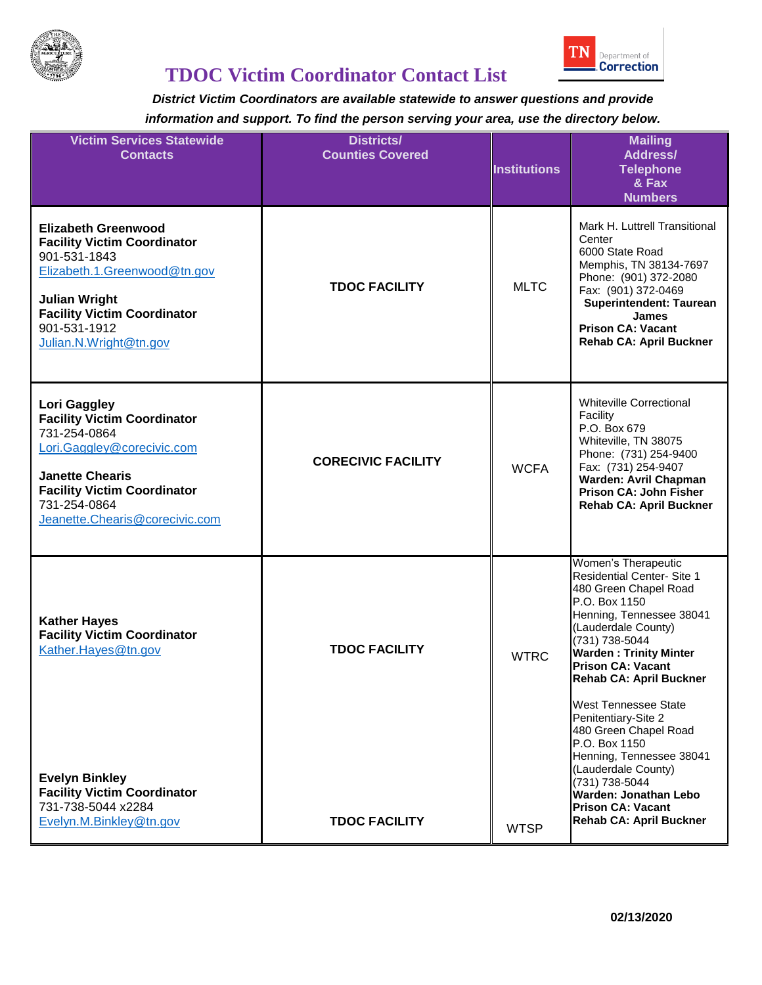



| <b>Victim Services Statewide</b><br><b>Contacts</b>                                                                                                                                                                      | <b>Districts/</b><br><b>Counties Covered</b> | <b>Institutions</b> | <b>Mailing</b><br><b>Address/</b><br><b>Telephone</b><br>& Fax<br><b>Numbers</b>                                                                                                                                                                                                                                                                      |
|--------------------------------------------------------------------------------------------------------------------------------------------------------------------------------------------------------------------------|----------------------------------------------|---------------------|-------------------------------------------------------------------------------------------------------------------------------------------------------------------------------------------------------------------------------------------------------------------------------------------------------------------------------------------------------|
| <b>Elizabeth Greenwood</b><br><b>Facility Victim Coordinator</b><br>901-531-1843<br>Elizabeth.1.Greenwood@tn.gov<br><b>Julian Wright</b><br><b>Facility Victim Coordinator</b><br>901-531-1912<br>Julian.N.Wright@tn.gov | <b>TDOC FACILITY</b>                         | <b>MLTC</b>         | Mark H. Luttrell Transitional<br>Center<br>6000 State Road<br>Memphis, TN 38134-7697<br>Phone: (901) 372-2080<br>Fax: (901) 372-0469<br><b>Superintendent: Taurean</b><br>James<br><b>Prison CA: Vacant</b><br><b>Rehab CA: April Buckner</b>                                                                                                         |
| Lori Gaggley<br><b>Facility Victim Coordinator</b><br>731-254-0864<br>Lori.Gaggley@corecivic.com<br><b>Janette Chearis</b><br><b>Facility Victim Coordinator</b><br>731-254-0864<br>Jeanette.Chearis@corecivic.com       | <b>CORECIVIC FACILITY</b>                    | <b>WCFA</b>         | <b>Whiteville Correctional</b><br>Facility<br>P.O. Box 679<br>Whiteville, TN 38075<br>Phone: (731) 254-9400<br>Fax: (731) 254-9407<br><b>Warden: Avril Chapman</b><br>Prison CA: John Fisher<br><b>Rehab CA: April Buckner</b>                                                                                                                        |
| <b>Kather Hayes</b><br><b>Facility Victim Coordinator</b><br>Kather.Hayes@tn.gov                                                                                                                                         | <b>TDOC FACILITY</b>                         | <b>WTRC</b>         | Women's Therapeutic<br><b>Residential Center- Site 1</b><br>480 Green Chapel Road<br>P.O. Box 1150<br>Henning, Tennessee 38041<br>(Lauderdale County)<br>(731) 738-5044<br><b>Warden: Trinity Minter</b><br><b>Prison CA: Vacant</b><br><b>Rehab CA: April Buckner</b><br><b>West Tennessee State</b><br>Penitentiary-Site 2<br>480 Green Chapel Road |
| <b>Evelyn Binkley</b><br><b>Facility Victim Coordinator</b><br>731-738-5044 x2284<br>Evelyn.M.Binkley@tn.gov                                                                                                             | <b>TDOC FACILITY</b>                         | <b>WTSP</b>         | P.O. Box 1150<br>Henning, Tennessee 38041<br>(Lauderdale County)<br>(731) 738-5044<br>Warden: Jonathan Lebo<br><b>Prison CA: Vacant</b><br><b>Rehab CA: April Buckner</b>                                                                                                                                                                             |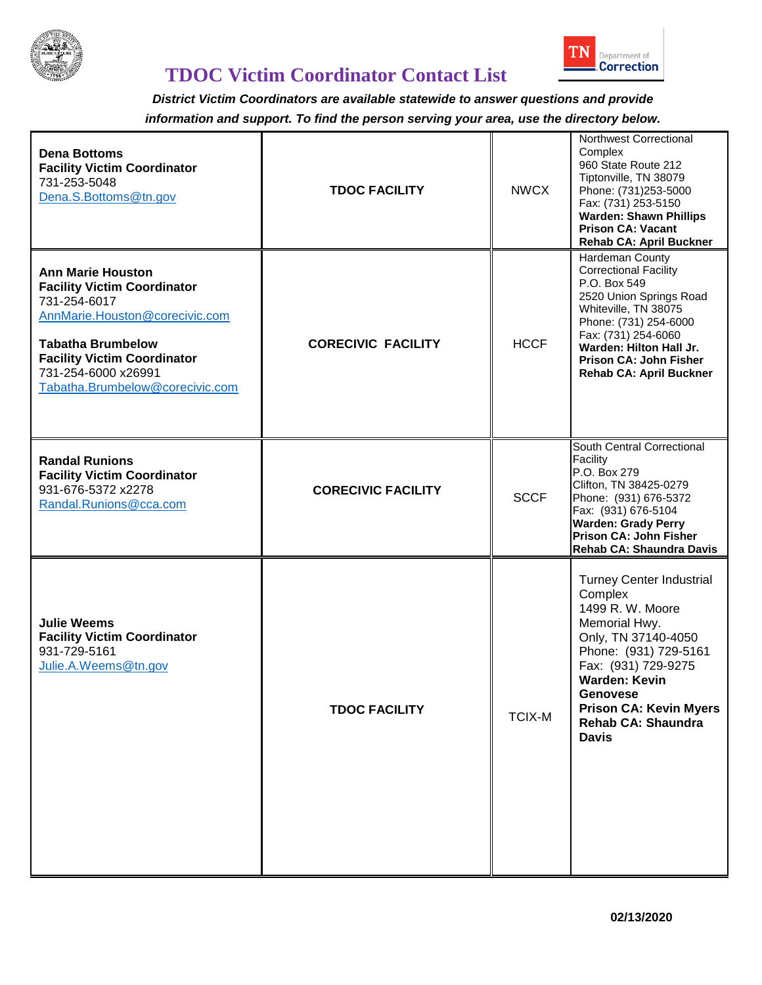



| <b>Dena Bottoms</b><br><b>Facility Victim Coordinator</b><br>731-253-5048<br>Dena.S.Bottoms@tn.gov                                                                                                                                           | <b>TDOC FACILITY</b>      | <b>NWCX</b>   | Northwest Correctional<br>Complex<br>960 State Route 212<br>Tiptonville, TN 38079<br>Phone: (731)253-5000<br>Fax: (731) 253-5150<br><b>Warden: Shawn Phillips</b><br><b>Prison CA: Vacant</b><br><b>Rehab CA: April Buckner</b>                                          |
|----------------------------------------------------------------------------------------------------------------------------------------------------------------------------------------------------------------------------------------------|---------------------------|---------------|--------------------------------------------------------------------------------------------------------------------------------------------------------------------------------------------------------------------------------------------------------------------------|
| <b>Ann Marie Houston</b><br><b>Facility Victim Coordinator</b><br>731-254-6017<br>AnnMarie.Houston@corecivic.com<br><b>Tabatha Brumbelow</b><br><b>Facility Victim Coordinator</b><br>731-254-6000 x26991<br>Tabatha.Brumbelow@corecivic.com | <b>CORECIVIC FACILITY</b> | <b>HCCF</b>   | Hardeman County<br><b>Correctional Facility</b><br>P.O. Box 549<br>2520 Union Springs Road<br>Whiteville, TN 38075<br>Phone: (731) 254-6000<br>Fax: (731) 254-6060<br>Warden: Hilton Hall Jr.<br><b>Prison CA: John Fisher</b><br><b>Rehab CA: April Buckner</b>         |
| <b>Randal Runions</b><br><b>Facility Victim Coordinator</b><br>931-676-5372 x2278<br>Randal.Runions@cca.com                                                                                                                                  | <b>CORECIVIC FACILITY</b> | <b>SCCF</b>   | South Central Correctional<br>Facility<br>P.O. Box 279<br>Clifton, TN 38425-0279<br>Phone: (931) 676-5372<br>Fax: (931) 676-5104<br><b>Warden: Grady Perry</b><br>Prison CA: John Fisher<br>Rehab CA: Shaundra Davis                                                     |
| <b>Julie Weems</b><br><b>Facility Victim Coordinator</b><br>931-729-5161<br>Julie.A.Weems@tn.gov                                                                                                                                             | <b>TDOC FACILITY</b>      | <b>TCIX-M</b> | <b>Turney Center Industrial</b><br>Complex<br>1499 R. W. Moore<br>Memorial Hwy.<br>Only, TN 37140-4050<br>Phone: (931) 729-5161<br>Fax: (931) 729-9275<br><b>Warden: Kevin</b><br>Genovese<br><b>Prison CA: Kevin Myers</b><br><b>Rehab CA: Shaundra</b><br><b>Davis</b> |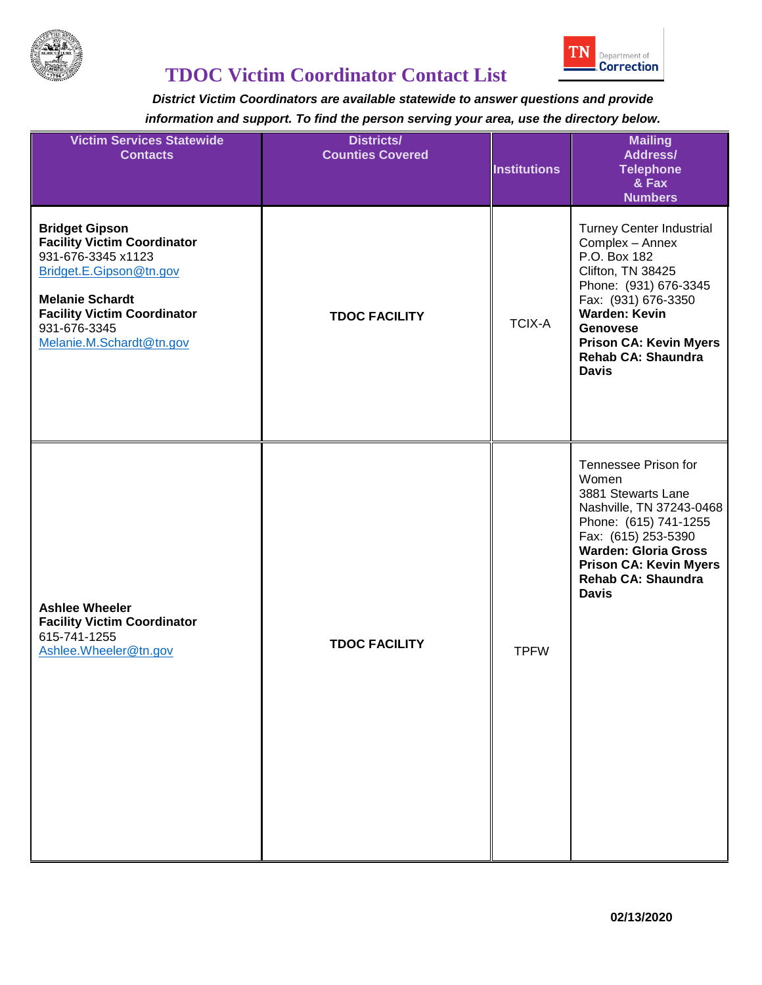

## **TDOC Victim Coordinator Contact List**

| <b>Victim Services Statewide</b><br><b>Contacts</b>                                                                                                                                                                      | <b>Districts/</b><br><b>Counties Covered</b> | <b>Institutions</b> | <b>Mailing</b><br><b>Address/</b><br><b>Telephone</b><br>& Fax<br><b>Numbers</b>                                                                                                                                                                          |
|--------------------------------------------------------------------------------------------------------------------------------------------------------------------------------------------------------------------------|----------------------------------------------|---------------------|-----------------------------------------------------------------------------------------------------------------------------------------------------------------------------------------------------------------------------------------------------------|
| <b>Bridget Gipson</b><br><b>Facility Victim Coordinator</b><br>931-676-3345 x1123<br>Bridget.E.Gipson@tn.gov<br><b>Melanie Schardt</b><br><b>Facility Victim Coordinator</b><br>931-676-3345<br>Melanie.M.Schardt@tn.gov | <b>TDOC FACILITY</b>                         | <b>TCIX-A</b>       | <b>Turney Center Industrial</b><br>Complex - Annex<br>P.O. Box 182<br>Clifton, TN 38425<br>Phone: (931) 676-3345<br>Fax: (931) 676-3350<br><b>Warden: Kevin</b><br><b>Genovese</b><br><b>Prison CA: Kevin Myers</b><br>Rehab CA: Shaundra<br><b>Davis</b> |
| <b>Ashlee Wheeler</b><br><b>Facility Victim Coordinator</b><br>615-741-1255<br>Ashlee.Wheeler@tn.gov                                                                                                                     | <b>TDOC FACILITY</b>                         | <b>TPFW</b>         | Tennessee Prison for<br>Women<br>3881 Stewarts Lane<br>Nashville, TN 37243-0468<br>Phone: (615) 741-1255<br>Fax: (615) 253-5390<br><b>Warden: Gloria Gross</b><br><b>Prison CA: Kevin Myers</b><br>Rehab CA: Shaundra<br><b>Davis</b>                     |